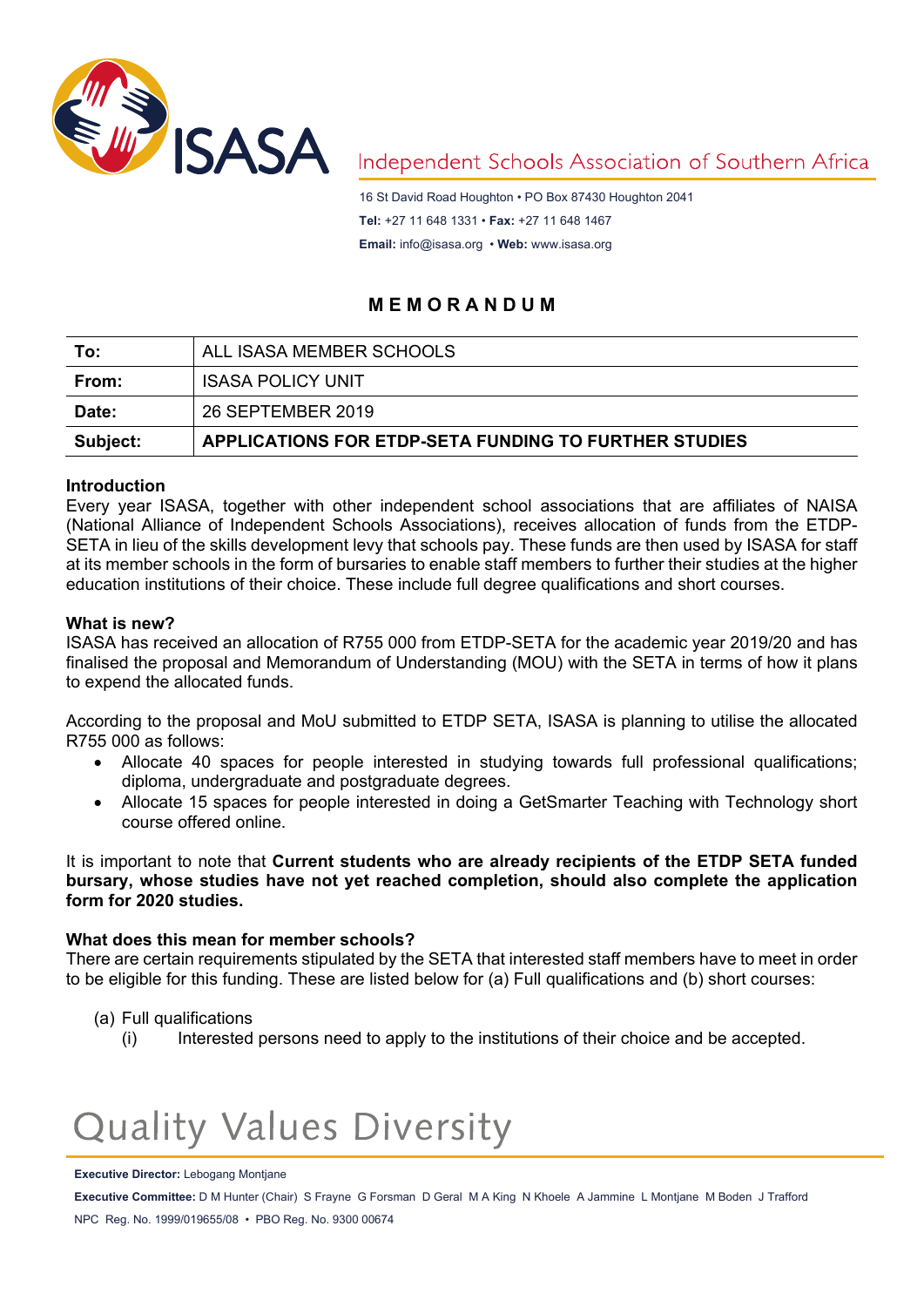

## Independent Schools Association of Southern Africa

16 St David Road Houghton • PO Box 87430 Houghton 2041 **Tel:** +27 11 648 1331 • **Fax:** +27 11 648 1467 **Email:** [info@isasa.org](mailto:info@isasa.org) • **Web:** [www.isasa.org](http://www.isasa.org/)

### **M E M O R A N D U M**

| To:      | ALL ISASA MEMBER SCHOOLS                                     |
|----------|--------------------------------------------------------------|
| From:    | <b>ISASA POLICY UNIT</b>                                     |
| Date:    | 26 SEPTEMBER 2019                                            |
| Subject: | <b>APPLICATIONS FOR ETDP-SETA FUNDING TO FURTHER STUDIES</b> |

#### **Introduction**

Every year ISASA, together with other independent school associations that are affiliates of NAISA (National Alliance of Independent Schools Associations), receives allocation of funds from the ETDP-SETA in lieu of the skills development levy that schools pay. These funds are then used by ISASA for staff at its member schools in the form of bursaries to enable staff members to further their studies at the higher education institutions of their choice. These include full degree qualifications and short courses.

#### **What is new?**

ISASA has received an allocation of R755 000 from ETDP-SETA for the academic year 2019/20 and has finalised the proposal and Memorandum of Understanding (MOU) with the SETA in terms of how it plans to expend the allocated funds.

According to the proposal and MoU submitted to ETDP SETA, ISASA is planning to utilise the allocated R755 000 as follows:

- Allocate 40 spaces for people interested in studying towards full professional qualifications; diploma, undergraduate and postgraduate degrees.
- Allocate 15 spaces for people interested in doing a GetSmarter Teaching with Technology short course offered online.

It is important to note that **Current students who are already recipients of the ETDP SETA funded bursary, whose studies have not yet reached completion, should also complete the application form for 2020 studies.**

#### **What does this mean for member schools?**

There are certain requirements stipulated by the SETA that interested staff members have to meet in order to be eligible for this funding. These are listed below for (a) Full qualifications and (b) short courses:

- (a) Full qualifications
	- (i) Interested persons need to apply to the institutions of their choice and be accepted.

# **Quality Values Diversity**

#### **Executive Director:** Lebogang Montjane

**Executive Committee:** D M Hunter (Chair) S Frayne G Forsman D Geral M A King N Khoele A Jammine L Montjane M Boden J Trafford NPC Reg. No. 1999/019655/08 • PBO Reg. No. 9300 00674